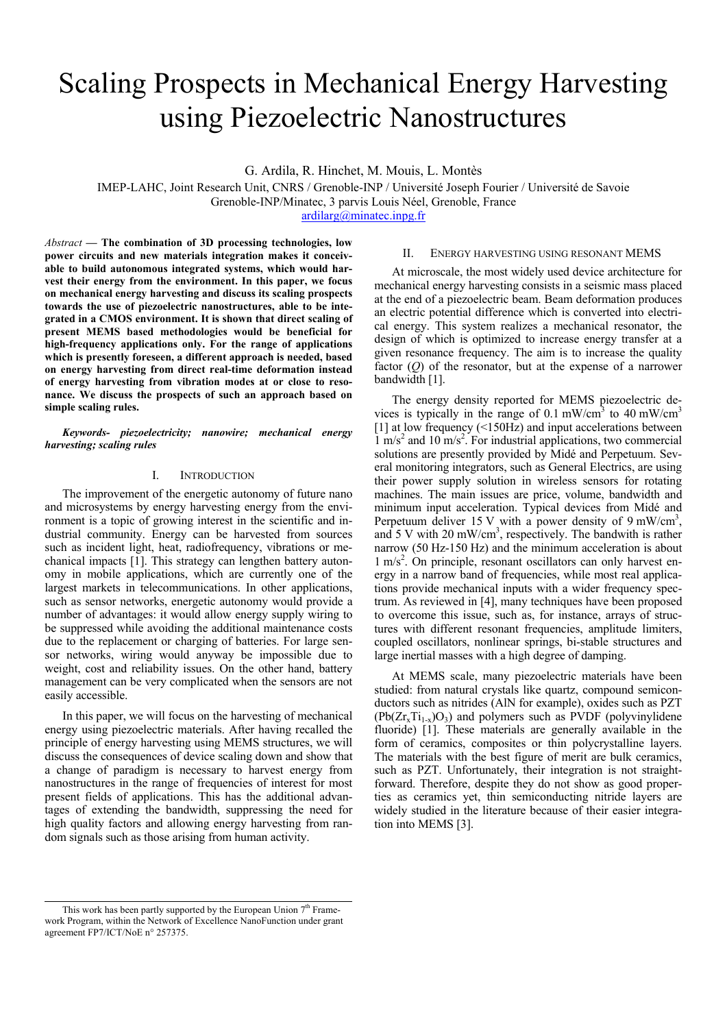# Scaling Prospects in Mechanical Energy Harvesting using Piezoelectric Nanostructures

G. Ardila, R. Hinchet, M. Mouis, L. Montès

IMEP-LAHC, Joint Research Unit, CNRS / Grenoble-INP / Université Joseph Fourier / Université de Savoie Grenoble-INP/Minatec, 3 parvis Louis Néel, Grenoble, France

[ardilarg@minatec.inpg.fr](mailto:ardilarg@minatec.inpg.fr)

*Abstract* **— The combination of 3D processing technologies, low power circuits and new materials integration makes it conceivable to build autonomous integrated systems, which would harvest their energy from the environment. In this paper, we focus on mechanical energy harvesting and discuss its scaling prospects towards the use of piezoelectric nanostructures, able to be integrated in a CMOS environment. It is shown that direct scaling of present MEMS based methodologies would be beneficial for high-frequency applications only. For the range of applications which is presently foreseen, a different approach is needed, based on energy harvesting from direct real-time deformation instead of energy harvesting from vibration modes at or close to resonance. We discuss the prospects of such an approach based on simple scaling rules.** 

*Keywords- piezoelectricity; nanowire; mechanical energy harvesting; scaling rules* 

## I. INTRODUCTION

The improvement of the energetic autonomy of future nano and microsystems by energy harvesting energy from the environment is a topic of growing interest in the scientific and industrial community. Energy can be harvested from sources such as incident light, heat, radiofrequency, vibrations or mechanical impacts [\[1\]](#page-3-0). This strategy can lengthen battery autonomy in mobile applications, which are currently one of the largest markets in telecommunications. In other applications, such as sensor networks, energetic autonomy would provide a number of advantages: it would allow energy supply wiring to be suppressed while avoiding the additional maintenance costs due to the replacement or charging of batteries. For large sensor networks, wiring would anyway be impossible due to weight, cost and reliability issues. On the other hand, battery management can be very complicated when the sensors are not easily accessible.

In this paper, we will focus on the harvesting of mechanical energy using piezoelectric materials. After having recalled the principle of energy harvesting using MEMS structures, we will discuss the consequences of device scaling down and show that a change of paradigm is necessary to harvest energy from nanostructures in the range of frequencies of interest for most present fields of applications. This has the additional advantages of extending the bandwidth, suppressing the need for high quality factors and allowing energy harvesting from random signals such as those arising from human activity.

## II. ENERGY HARVESTING USING RESONANT MEMS

At microscale, the most widely used device architecture for mechanical energy harvesting consists in a seismic mass placed at the end of a piezoelectric beam. Beam deformation produces an electric potential difference which is converted into electrical energy. This system realizes a mechanical resonator, the design of which is optimized to increase energy transfer at a given resonance frequency. The aim is to increase the quality factor (*Q*) of the resonator, but at the expense of a narrower bandwidth [\[1\].](#page-3-0)

The energy density reported for MEMS piezoelectric devices is typically in the range of  $0.1 \text{ mW/cm}^3$  to  $40 \text{ mW/cm}^3$ [\[1\]](#page-3-0) at low frequency (<150Hz) and input accelerations between  $1 \text{ m/s}^2$  and  $10 \text{ m/s}^2$ . For industrial applications, two commercial solutions are presently provided by Midé and Perpetuum. Several monitoring integrators, such as General Electrics, are using their power supply solution in wireless sensors for rotating machines. The main issues are price, volume, bandwidth and minimum input acceleration. Typical devices from Midé and Perpetuum deliver 15 V with a power density of 9 mW/cm<sup>3</sup>, and  $5$  V with  $20 \text{ mW/cm}^3$ , respectively. The bandwith is rather narrow (50 Hz-150 Hz) and the minimum acceleration is about 1 m/s<sup>2</sup>. On principle, resonant oscillators can only harvest energy in a narrow band of frequencies, while most real applications provide mechanical inputs with a wider frequency spectrum. As reviewed in [4], many techniques have been proposed to overcome this issue, such as, for instance, arrays of structures with different resonant frequencies, amplitude limiters, coupled oscillators, nonlinear springs, bi-stable structures and large inertial masses with a high degree of damping.

At MEMS scale, many piezoelectric materials have been studied: from natural crystals like quartz, compound semiconductors such as nitrides (AlN for example), oxides such as PZT  $(Pb(Zr<sub>x</sub>Ti<sub>1-x</sub>)O<sub>3</sub>)$  and polymers such as PVDF (polyvinylidene fluoride) [\[1\].](#page-3-0) These materials are generally available in the form of ceramics, composites or thin polycrystalline layers. The materials with the best figure of merit are bulk ceramics, such as PZT. Unfortunately, their integration is not straightforward. Therefore, despite they do not show as good properties as ceramics yet, thin semiconducting nitride layers are widely studied in the literature because of their easier integration into MEMS [\[3\].](#page-3-0)

This work has been partly supported by the European Union  $7<sup>th</sup>$  Framework Program, within the Network of Excellence NanoFunction under grant agreement FP7/ICT/NoE n° 257375.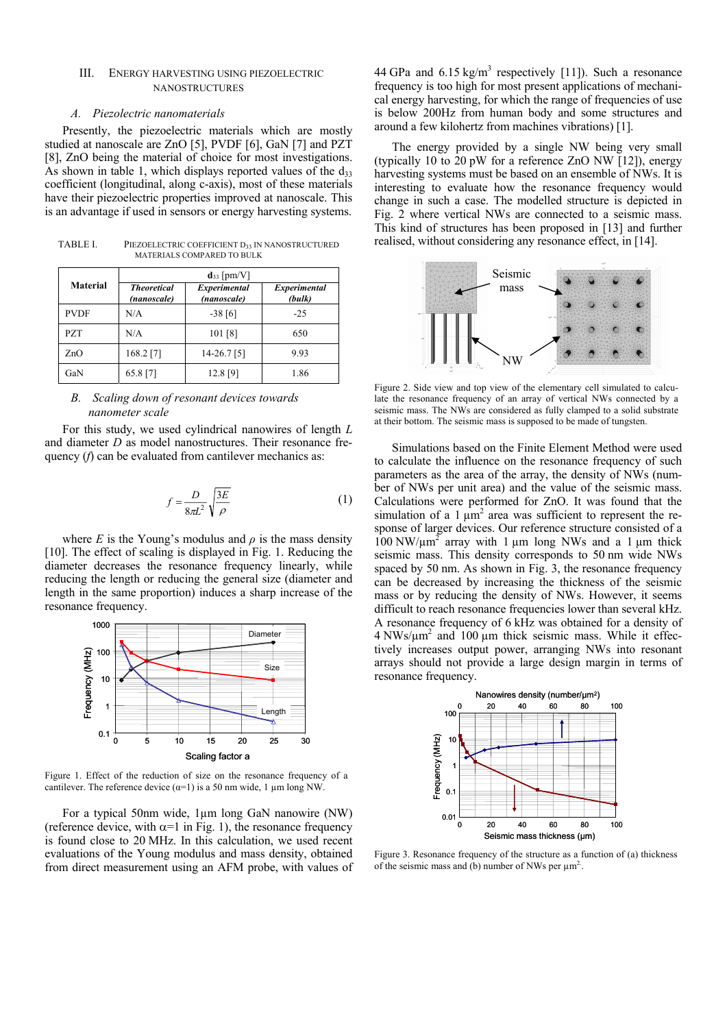# III. ENERGY HARVESTING USING PIEZOELECTRIC NANOSTRUCTURES

#### *A. Piezolectric nanomaterials*

Presently, the piezoelectric materials which are mostly studied at nanoscale are ZnO [\[5\],](#page-3-0) PVDF [\[6\],](#page-3-0) GaN [\[7\]](#page-3-0) and PZT [\[8\]](#page-3-0), ZnO being the material of choice for most investigations. As shown in table 1, which displays reported values of the  $d_{33}$ coefficient (longitudinal, along c-axis), most of these materials have their piezoelectric properties improved at nanoscale. This is an advantage if used in sensors or energy harvesting systems.

TABLE I. PIEZOELECTRIC COEFFICIENT D33 IN NANOSTRUCTURED MATERIALS COMPARED TO BULK

| <b>Material</b> | $d_{33}$ [pm/V]                   |                             |                        |  |
|-----------------|-----------------------------------|-----------------------------|------------------------|--|
|                 | <b>Theoretical</b><br>(nanoscale) | Experimental<br>(nanoscale) | Experimental<br>(bulk) |  |
| <b>PVDF</b>     | N/A                               | $-38[6]$                    | $-25$                  |  |
| <b>PZT</b>      | N/A                               | 101 [8]                     | 650                    |  |
| ZnO             | 168.2 [7]                         | $14 - 26.7$ [5]             | 9.93                   |  |
| GaN             | 65.8 [7]                          | 12.8 [9]                    | 1.86                   |  |

# *B. Scaling down of resonant devices towards nanometer scale*

For this study, we used cylindrical nanowires of length *L* and diameter *D* as model nanostructures. Their resonance frequency (*f*) can be evaluated from cantilever mechanics as:

$$
f = \frac{D}{8\pi L^2} \sqrt{\frac{3E}{\rho}}
$$
 (1)

where *E* is the Young's modulus and  $\rho$  is the mass density [\[10\]](#page-3-0). The effect of scaling is displayed in Fig. 1. Reducing the diameter decreases the resonance frequency linearly, while reducing the length or reducing the general size (diameter and length in the same proportion) induces a sharp increase of the resonance frequency.



Figure 1. Effect of the reduction of size on the resonance frequency of a cantilever. The reference device  $(\alpha=1)$  is a 50 nm wide, 1 µm long NW.

For a typical 50nm wide, 1µm long GaN nanowire (NW) (reference device, with  $\alpha$ =1 in Fig. 1), the resonance frequency is found close to 20 MHz. In this calculation, we used recent evaluations of the Young modulus and mass density, obtained from direct measurement using an AFM probe, with values of

44 GPa and  $6.15 \text{ kg/m}^3$  respectively [\[11\]\)](#page-3-0). Such a resonance frequency is too high for most present applications of mechanical energy harvesting, for which the range of frequencies of use is below 200Hz from human body and some structures and around a few kilohertz from machines vibrations) [\[1\].](#page-3-0)

The energy provided by a single NW being very small (typically 10 to 20 pW for a reference ZnO NW [\[12\]\)](#page-3-0), energy harvesting systems must be based on an ensemble of NWs. It is interesting to evaluate how the resonance frequency would change in such a case. The modelled structure is depicted in Fig. 2 where vertical NWs are connected to a seismic mass. This kind of structures has been proposed in [\[13\]](#page-3-0) and further realised, without considering any resonance effect, in [\[14\]](#page-3-0).



Figure 2. Side view and top view of the elementary cell simulated to calculate the resonance frequency of an array of vertical NWs connected by a seismic mass. The NWs are considered as fully clamped to a solid substrate at their bottom. The seismic mass is supposed to be made of tungsten.

Simulations based on the Finite Element Method were used to calculate the influence on the resonance frequency of such parameters as the area of the array, the density of NWs (number of NWs per unit area) and the value of the seismic mass. Calculations were performed for ZnO. It was found that the simulation of a 1  $\mu$ m<sup>2</sup> area was sufficient to represent the response of larger devices. Our reference structure consisted of a  $100 \text{ NW}/\mu\text{m}^2$  array with 1  $\mu$ m long NWs and a 1  $\mu$ m thick seismic mass. This density corresponds to 50 nm wide NWs spaced by 50 nm. As shown in Fig. 3, the resonance frequency can be decreased by increasing the thickness of the seismic mass or by reducing the density of NWs. However, it seems difficult to reach resonance frequencies lower than several kHz. A resonance frequency of 6 kHz was obtained for a density of  $4 \text{ NWs}/\mu\text{m}^2$  and 100  $\mu\text{m}$  thick seismic mass. While it effectively increases output power, arranging NWs into resonant arrays should not provide a large design margin in terms of resonance frequency.



Figure 3. Resonance frequency of the structure as a function of (a) thickness of the seismic mass and (b) number of NWs per  $\mu$ m<sup>2</sup>.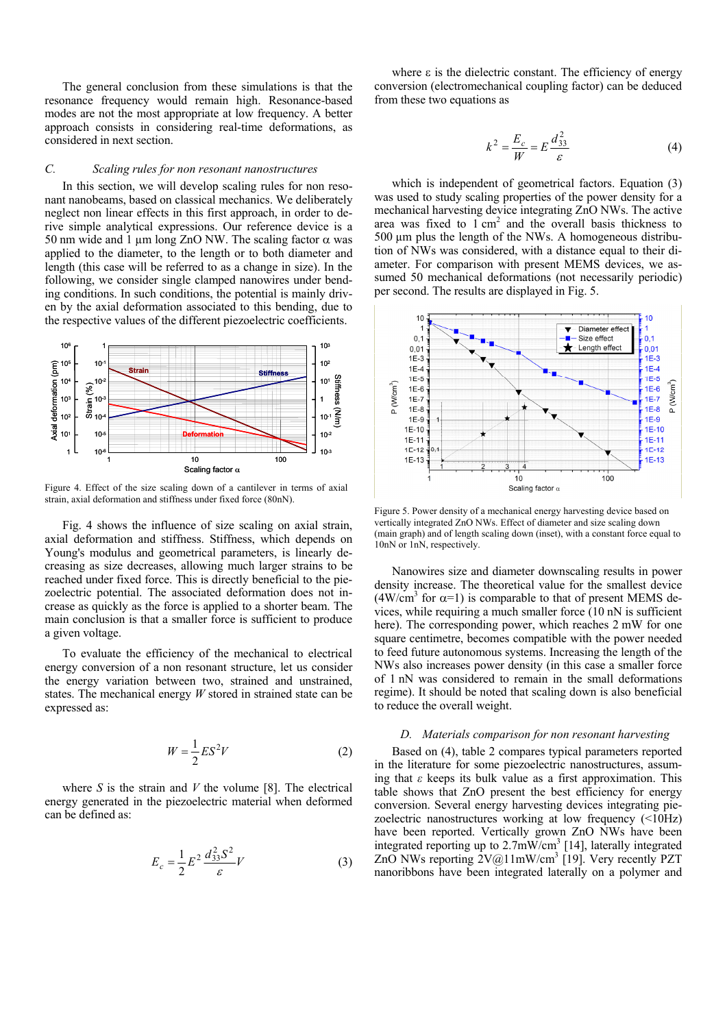The general conclusion from these simulations is that the resonance frequency would remain high. Resonance-based modes are not the most appropriate at low frequency. A better approach consists in considering real-time deformations, as considered in next section.

# *C. Scaling rules for non resonant nanostructures*

In this section, we will develop scaling rules for non resonant nanobeams, based on classical mechanics. We deliberately neglect non linear effects in this first approach, in order to derive simple analytical expressions. Our reference device is a 50 nm wide and 1  $\mu$ m long ZnO NW. The scaling factor  $\alpha$  was applied to the diameter, to the length or to both diameter and length (this case will be referred to as a change in size). In the following, we consider single clamped nanowires under bending conditions. In such conditions, the potential is mainly driven by the axial deformation associated to this bending, due to the respective values of the different piezoelectric coefficients.



Figure 4. Effect of the size scaling down of a cantilever in terms of axial strain, axial deformation and stiffness under fixed force (80nN).

Fig. 4 shows the influence of size scaling on axial strain, axial deformation and stiffness. Stiffness, which depends on Young's modulus and geometrical parameters, is linearly decreasing as size decreases, allowing much larger strains to be reached under fixed force. This is directly beneficial to the piezoelectric potential. The associated deformation does not increase as quickly as the force is applied to a shorter beam. The main conclusion is that a smaller force is sufficient to produce a given voltage.

To evaluate the efficiency of the mechanical to electrical energy conversion of a non resonant structure, let us consider the energy variation between two, strained and unstrained, states. The mechanical energy *W* stored in strained state can be expressed as:

$$
W = \frac{1}{2} E S^2 V \tag{2}
$$

where *S* is the strain and *V* the volume [\[8\]](#page-3-0). The electrical energy generated in the piezoelectric material when deformed can be defined as:

$$
E_c = \frac{1}{2} E^2 \frac{d_{33}^2 S^2}{\varepsilon} V \tag{3}
$$

where  $\varepsilon$  is the dielectric constant. The efficiency of energy conversion (electromechanical coupling factor) can be deduced from these two equations as

$$
k^2 = \frac{E_c}{W} = E \frac{d_{33}^2}{\varepsilon} \tag{4}
$$

which is independent of geometrical factors. Equation (3) was used to study scaling properties of the power density for a mechanical harvesting device integrating ZnO NWs. The active area was fixed to  $1 \text{ cm}^2$  and the overall basis thickness to 500 µm plus the length of the NWs. A homogeneous distribution of NWs was considered, with a distance equal to their diameter. For comparison with present MEMS devices, we assumed 50 mechanical deformations (not necessarily periodic) per second. The results are displayed in Fig. 5.



Figure 5. Power density of a mechanical energy harvesting device based on vertically integrated ZnO NWs. Effect of diameter and size scaling down (main graph) and of length scaling down (inset), with a constant force equal to 10nN or 1nN, respectively.

Nanowires size and diameter downscaling results in power density increase. The theoretical value for the smallest device  $(4W/cm<sup>3</sup>$  for  $\alpha=1$ ) is comparable to that of present MEMS devices, while requiring a much smaller force (10 nN is sufficient here). The corresponding power, which reaches 2 mW for one square centimetre, becomes compatible with the power needed to feed future autonomous systems. Increasing the length of the NWs also increases power density (in this case a smaller force of 1 nN was considered to remain in the small deformations regime). It should be noted that scaling down is also beneficial to reduce the overall weight.

## *D. Materials comparison for non resonant harvesting*

Based on (4), table 2 compares typical parameters reported in the literature for some piezoelectric nanostructures, assuming that *ε* keeps its bulk value as a first approximation. This table shows that ZnO present the best efficiency for energy conversion. Several energy harvesting devices integrating piezoelectric nanostructures working at low frequency (<10Hz) have been reported. Vertically grown ZnO NWs have been integrated reporting up to  $2.7 \text{mW/cm}^3$  [\[14\],](#page-3-0) laterally integrated ZnO NWs reporting  $2V@11mW/cm^3$  [\[19\]](#page-3-0). Very recently PZT nanoribbons have been integrated laterally on a polymer and